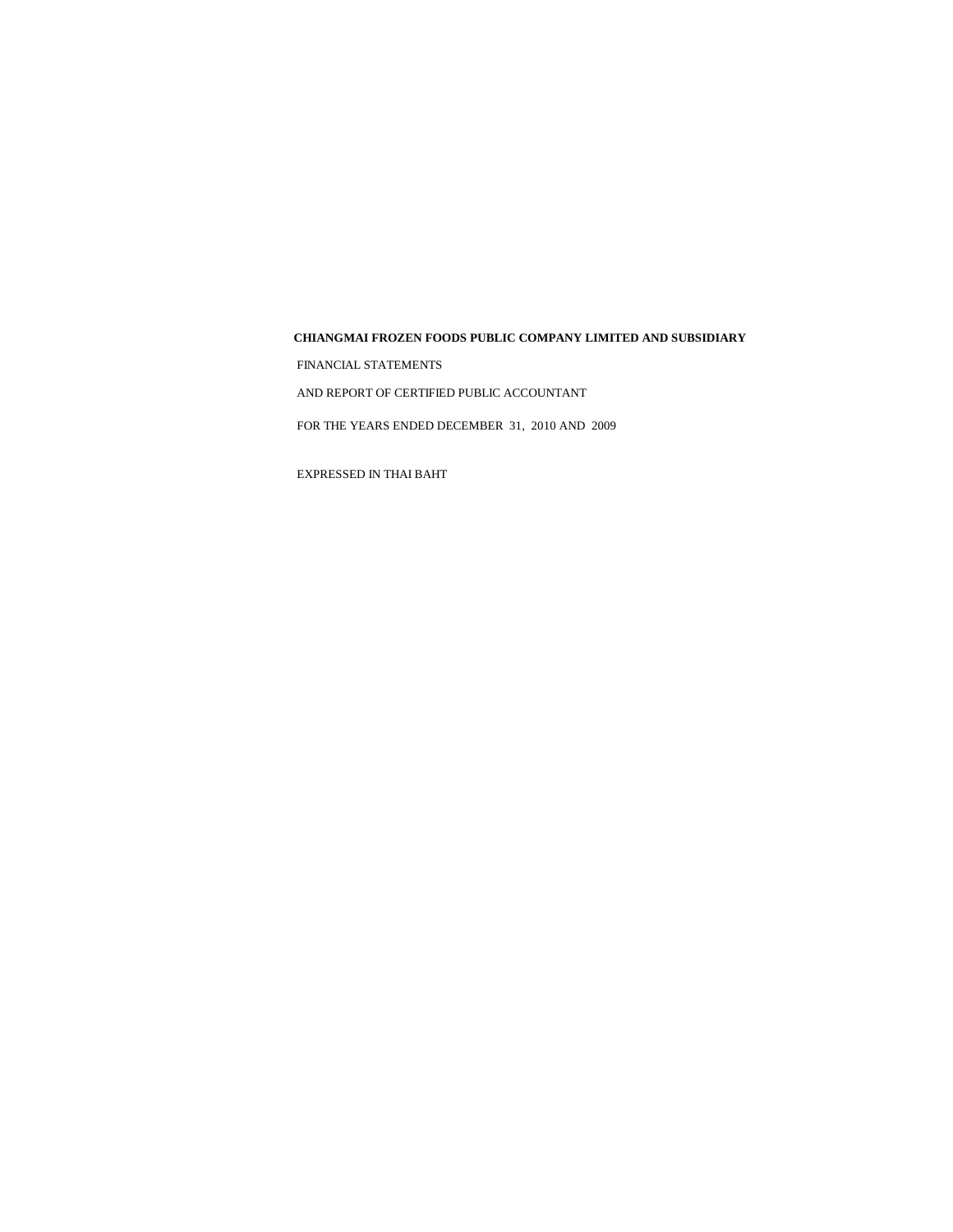FINANCIAL STATEMENTS

AND REPORT OF CERTIFIED PUBLIC ACCOUNTANT

FOR THE YEARS ENDED DECEMBER 31, 2010 AND 2009

EXPRESSED IN THAI BAHT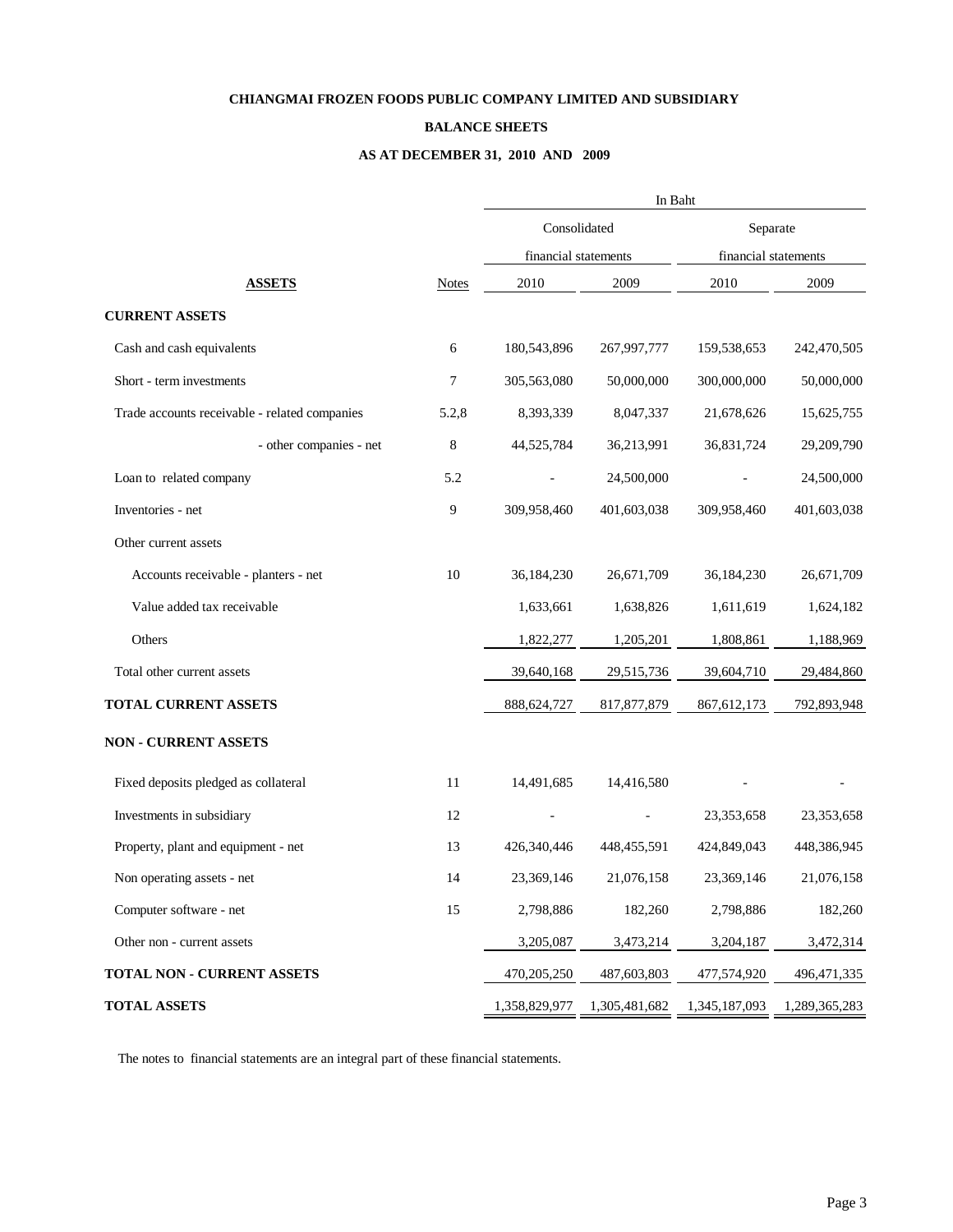#### **BALANCE SHEETS**

### **AS AT DECEMBER 31, 2010 AND 2009**

|                                               |              | In Baht              |               |                      |               |  |
|-----------------------------------------------|--------------|----------------------|---------------|----------------------|---------------|--|
|                                               |              | Consolidated         |               | Separate             |               |  |
|                                               |              | financial statements |               | financial statements |               |  |
| <b>ASSETS</b>                                 | <b>Notes</b> | 2010                 | 2009          | 2010                 | 2009          |  |
| <b>CURRENT ASSETS</b>                         |              |                      |               |                      |               |  |
| Cash and cash equivalents                     | 6            | 180,543,896          | 267,997,777   | 159,538,653          | 242,470,505   |  |
| Short - term investments                      | 7            | 305,563,080          | 50,000,000    | 300,000,000          | 50,000,000    |  |
| Trade accounts receivable - related companies | 5.2,8        | 8,393,339            | 8,047,337     | 21,678,626           | 15,625,755    |  |
| - other companies - net                       | 8            | 44,525,784           | 36,213,991    | 36,831,724           | 29,209,790    |  |
| Loan to related company                       | 5.2          |                      | 24,500,000    |                      | 24,500,000    |  |
| Inventories - net                             | 9            | 309,958,460          | 401,603,038   | 309,958,460          | 401,603,038   |  |
| Other current assets                          |              |                      |               |                      |               |  |
| Accounts receivable - planters - net          | 10           | 36,184,230           | 26,671,709    | 36,184,230           | 26,671,709    |  |
| Value added tax receivable                    |              | 1,633,661            | 1,638,826     | 1,611,619            | 1,624,182     |  |
| Others                                        |              | 1,822,277            | 1,205,201     | 1,808,861            | 1,188,969     |  |
| Total other current assets                    |              | 39,640,168           | 29,515,736    | 39,604,710           | 29,484,860    |  |
| TOTAL CURRENT ASSETS                          |              | 888,624,727          | 817, 877, 879 | 867, 612, 173        | 792,893,948   |  |
| <b>NON - CURRENT ASSETS</b>                   |              |                      |               |                      |               |  |
| Fixed deposits pledged as collateral          | 11           | 14,491,685           | 14,416,580    |                      |               |  |
| Investments in subsidiary                     | 12           |                      |               | 23,353,658           | 23,353,658    |  |
| Property, plant and equipment - net           | 13           | 426,340,446          | 448,455,591   | 424,849,043          | 448,386,945   |  |
| Non operating assets - net                    | 14           | 23,369,146           | 21,076,158    | 23,369,146           | 21,076,158    |  |
| Computer software - net                       | 15           | 2,798,886            | 182,260       | 2,798,886            | 182,260       |  |
| Other non - current assets                    |              | 3,205,087            | 3,473,214     | 3,204,187            | 3,472,314     |  |
| TOTAL NON - CURRENT ASSETS                    |              | 470,205,250          | 487,603,803   | 477,574,920          | 496, 471, 335 |  |
| <b>TOTAL ASSETS</b>                           |              | 1,358,829,977        | 1,305,481,682 | 1,345,187,093        | 1,289,365,283 |  |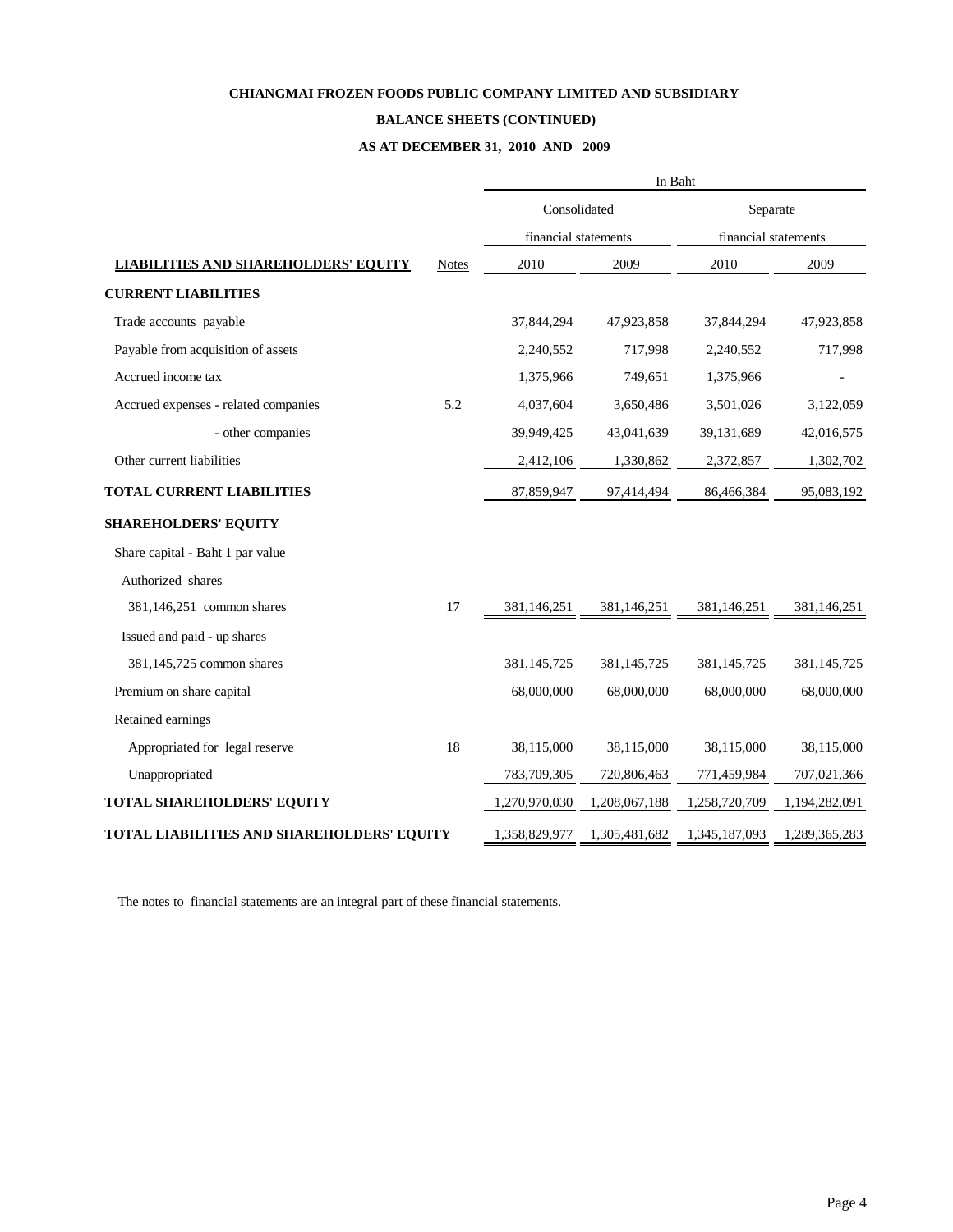## **BALANCE SHEETS (CONTINUED)**

**AS AT DECEMBER 31, 2010 AND 2009**

|                                             |               | In Baht       |                      |               |                      |  |
|---------------------------------------------|---------------|---------------|----------------------|---------------|----------------------|--|
|                                             |               | Consolidated  |                      | Separate      |                      |  |
|                                             |               |               | financial statements |               | financial statements |  |
| <b>LIABILITIES AND SHAREHOLDERS' EQUITY</b> | <b>Notes</b>  | 2010          | 2009                 | 2010          | 2009                 |  |
| <b>CURRENT LIABILITIES</b>                  |               |               |                      |               |                      |  |
| Trade accounts payable                      |               | 37,844,294    | 47,923,858           | 37,844,294    | 47,923,858           |  |
| Payable from acquisition of assets          |               | 2,240,552     | 717,998              | 2,240,552     | 717,998              |  |
| Accrued income tax                          |               | 1,375,966     | 749,651              | 1,375,966     |                      |  |
| Accrued expenses - related companies        | 5.2           | 4,037,604     | 3,650,486            | 3,501,026     | 3,122,059            |  |
| - other companies                           |               | 39,949,425    | 43,041,639           | 39,131,689    | 42,016,575           |  |
| Other current liabilities                   |               | 2,412,106     | 1,330,862            | 2,372,857     | 1,302,702            |  |
| <b>TOTAL CURRENT LIABILITIES</b>            |               | 87,859,947    | 97,414,494           | 86,466,384    | 95,083,192           |  |
| <b>SHAREHOLDERS' EQUITY</b>                 |               |               |                      |               |                      |  |
| Share capital - Baht 1 par value            |               |               |                      |               |                      |  |
| Authorized shares                           |               |               |                      |               |                      |  |
| 381,146,251 common shares                   | 17            | 381,146,251   | 381,146,251          | 381,146,251   | 381,146,251          |  |
| Issued and paid - up shares                 |               |               |                      |               |                      |  |
| 381,145,725 common shares                   |               | 381,145,725   | 381,145,725          | 381,145,725   | 381,145,725          |  |
| Premium on share capital                    |               | 68,000,000    | 68,000,000           | 68,000,000    | 68,000,000           |  |
| Retained earnings                           |               |               |                      |               |                      |  |
| Appropriated for legal reserve              | 18            | 38,115,000    | 38,115,000           | 38,115,000    | 38,115,000           |  |
| Unappropriated                              |               | 783,709,305   | 720,806,463          | 771,459,984   | 707,021,366          |  |
| TOTAL SHAREHOLDERS' EQUITY                  |               | 1,270,970,030 | 1,208,067,188        | 1,258,720,709 | 1,194,282,091        |  |
| TOTAL LIABILITIES AND SHAREHOLDERS' EQUITY  | 1,358,829,977 | 1,305,481,682 | 1,345,187,093        | 1,289,365,283 |                      |  |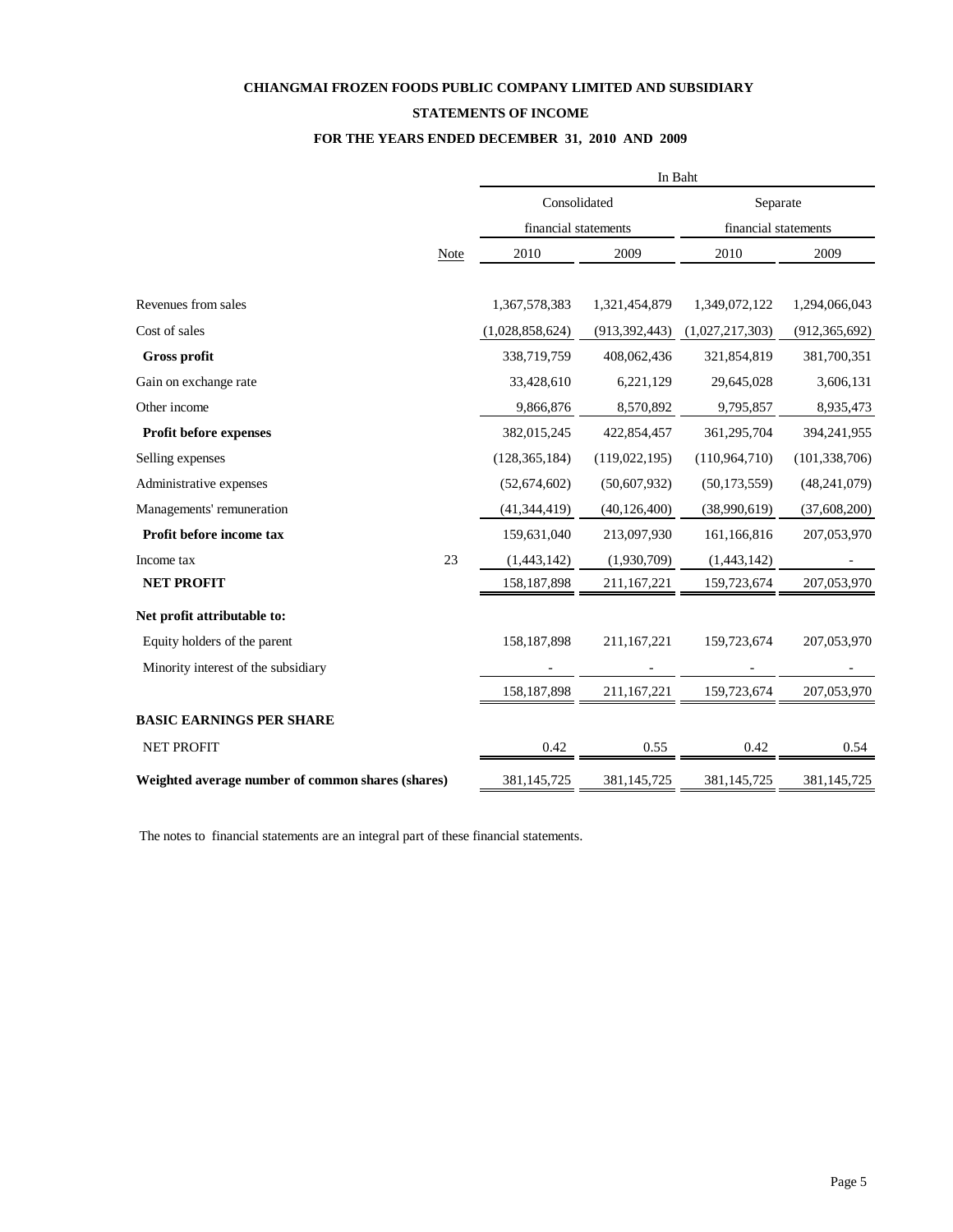### **STATEMENTS OF INCOME**

### **FOR THE YEARS ENDED DECEMBER 31, 2010 AND 2009**

|                                                   |             | In Baht              |                 |                                  |                 |  |  |
|---------------------------------------------------|-------------|----------------------|-----------------|----------------------------------|-----------------|--|--|
|                                                   |             | Consolidated         |                 | Separate<br>financial statements |                 |  |  |
|                                                   |             | financial statements |                 |                                  |                 |  |  |
|                                                   | <b>Note</b> | 2010                 | 2009            |                                  | 2009            |  |  |
| Revenues from sales                               |             | 1,367,578,383        | 1,321,454,879   | 1,349,072,122                    | 1,294,066,043   |  |  |
| Cost of sales                                     |             | (1,028,858,624)      | (913, 392, 443) | (1,027,217,303)                  | (912, 365, 692) |  |  |
| <b>Gross profit</b>                               |             | 338,719,759          | 408,062,436     | 321,854,819                      | 381,700,351     |  |  |
| Gain on exchange rate                             |             | 33,428,610           | 6,221,129       | 29,645,028                       | 3,606,131       |  |  |
| Other income                                      |             | 9,866,876            | 8,570,892       | 9,795,857                        | 8,935,473       |  |  |
| Profit before expenses                            |             | 382,015,245          | 422,854,457     | 361,295,704                      | 394,241,955     |  |  |
| Selling expenses                                  |             | (128, 365, 184)      | (119, 022, 195) | (110, 964, 710)                  | (101, 338, 706) |  |  |
| Administrative expenses                           |             | (52,674,602)         | (50,607,932)    | (50, 173, 559)                   | (48, 241, 079)  |  |  |
| Managements' remuneration                         |             | (41, 344, 419)       | (40, 126, 400)  | (38,990,619)                     | (37,608,200)    |  |  |
| Profit before income tax                          |             | 159,631,040          | 213,097,930     | 161,166,816                      | 207,053,970     |  |  |
| Income tax                                        | 23          | (1,443,142)          | (1,930,709)     | (1,443,142)                      |                 |  |  |
| <b>NET PROFIT</b>                                 |             | 158, 187, 898        | 211,167,221     | 159,723,674                      | 207,053,970     |  |  |
| Net profit attributable to:                       |             |                      |                 |                                  |                 |  |  |
| Equity holders of the parent                      |             | 158,187,898          | 211,167,221     | 159,723,674                      | 207,053,970     |  |  |
| Minority interest of the subsidiary               |             |                      |                 |                                  |                 |  |  |
|                                                   |             | 158, 187, 898        | 211,167,221     | 159,723,674                      | 207,053,970     |  |  |
| <b>BASIC EARNINGS PER SHARE</b>                   |             |                      |                 |                                  |                 |  |  |
| <b>NET PROFIT</b>                                 |             | 0.42                 | 0.55            | 0.42                             | 0.54            |  |  |
| Weighted average number of common shares (shares) | 381,145,725 | 381,145,725          | 381,145,725     | 381,145,725                      |                 |  |  |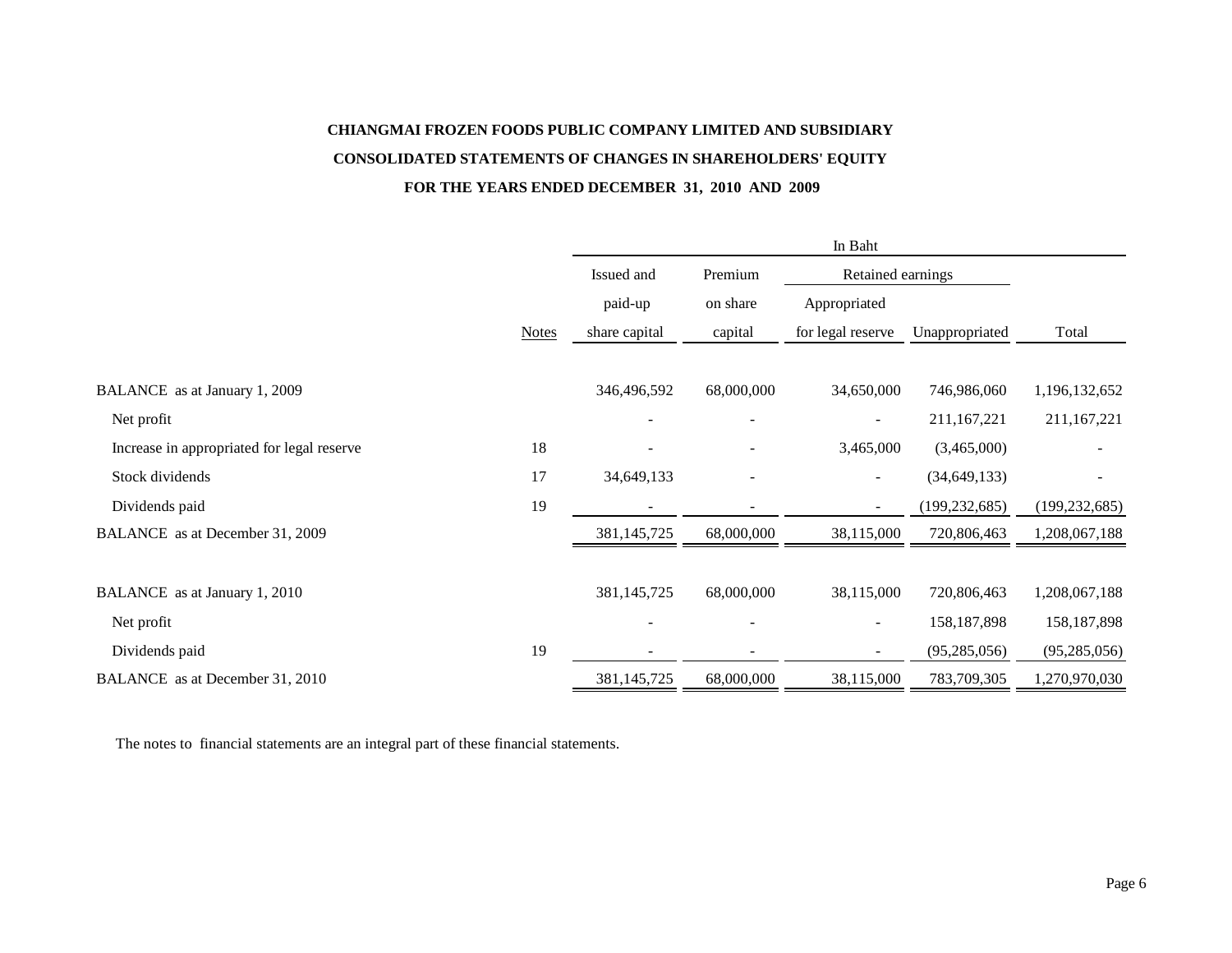# **CHIANGMAI FROZEN FOODS PUBLIC COMPANY LIMITED AND SUBSIDIARY CONSOLIDATED STATEMENTS OF CHANGES IN SHAREHOLDERS' EQUITY FOR THE YEARS ENDED DECEMBER 31, 2010 AND 2009**

|                                            |              | In Baht       |            |                          |                 |                 |  |
|--------------------------------------------|--------------|---------------|------------|--------------------------|-----------------|-----------------|--|
|                                            |              | Issued and    | Premium    | Retained earnings        |                 |                 |  |
|                                            |              | paid-up       | on share   | Appropriated             |                 |                 |  |
|                                            | <b>Notes</b> | share capital | capital    | for legal reserve        | Unappropriated  | Total           |  |
|                                            |              |               |            |                          |                 |                 |  |
| BALANCE as at January 1, 2009              |              | 346,496,592   | 68,000,000 | 34,650,000               | 746,986,060     | 1,196,132,652   |  |
| Net profit                                 |              |               |            | $\overline{\phantom{a}}$ | 211,167,221     | 211,167,221     |  |
| Increase in appropriated for legal reserve | 18           |               |            | 3,465,000                | (3,465,000)     |                 |  |
| Stock dividends                            | 17           | 34,649,133    |            | $\overline{\phantom{a}}$ | (34, 649, 133)  |                 |  |
| Dividends paid                             | 19           |               |            | $\overline{\phantom{a}}$ | (199, 232, 685) | (199, 232, 685) |  |
| BALANCE as at December 31, 2009            |              | 381,145,725   | 68,000,000 | 38,115,000               | 720,806,463     | 1,208,067,188   |  |
|                                            |              |               |            |                          |                 |                 |  |
| BALANCE as at January 1, 2010              |              | 381,145,725   | 68,000,000 | 38,115,000               | 720,806,463     | 1,208,067,188   |  |
| Net profit                                 |              |               |            | $\blacksquare$           | 158, 187, 898   | 158, 187, 898   |  |
| Dividends paid                             | 19           |               |            |                          | (95, 285, 056)  | (95, 285, 056)  |  |
| BALANCE as at December 31, 2010            |              | 381,145,725   | 68,000,000 | 38,115,000               | 783,709,305     | 1,270,970,030   |  |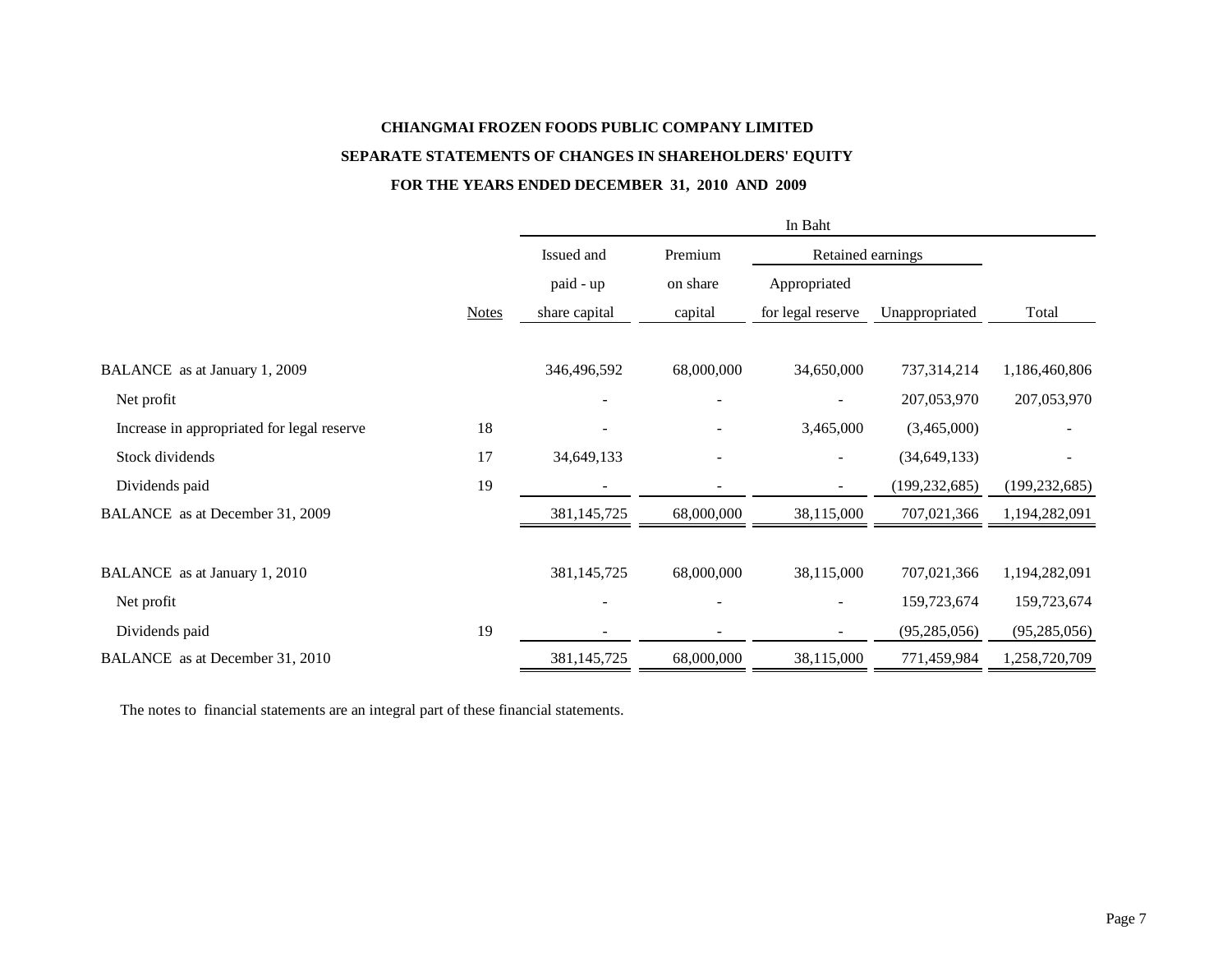# **CHIANGMAI FROZEN FOODS PUBLIC COMPANY LIMITED SEPARATE STATEMENTS OF CHANGES IN SHAREHOLDERS' EQUITY**

## **FOR THE YEARS ENDED DECEMBER 31, 2010 AND 2009**

|                                            |              | In Baht       |                     |                   |                 |                 |  |  |
|--------------------------------------------|--------------|---------------|---------------------|-------------------|-----------------|-----------------|--|--|
|                                            |              | Issued and    | Premium<br>on share | Retained earnings |                 |                 |  |  |
|                                            |              | paid - up     |                     | Appropriated      |                 |                 |  |  |
|                                            | <b>Notes</b> | share capital | capital             | for legal reserve | Unappropriated  | Total           |  |  |
| BALANCE as at January 1, 2009              |              | 346,496,592   | 68,000,000          | 34,650,000        | 737,314,214     | 1,186,460,806   |  |  |
| Net profit                                 |              |               | $\qquad \qquad -$   |                   | 207,053,970     | 207,053,970     |  |  |
| Increase in appropriated for legal reserve | 18           |               |                     | 3,465,000         | (3,465,000)     |                 |  |  |
| Stock dividends                            | 17           | 34,649,133    |                     |                   | (34, 649, 133)  |                 |  |  |
| Dividends paid                             | 19           |               |                     |                   | (199, 232, 685) | (199, 232, 685) |  |  |
| BALANCE as at December 31, 2009            |              | 381,145,725   | 68,000,000          | 38,115,000        | 707,021,366     | 1,194,282,091   |  |  |
| BALANCE as at January 1, 2010              |              | 381,145,725   | 68,000,000          | 38,115,000        | 707,021,366     | 1,194,282,091   |  |  |
| Net profit                                 |              |               |                     |                   | 159,723,674     | 159,723,674     |  |  |
| Dividends paid                             | 19           |               |                     |                   | (95, 285, 056)  | (95, 285, 056)  |  |  |
| BALANCE as at December 31, 2010            |              | 381,145,725   | 68,000,000          | 38,115,000        | 771,459,984     | 1,258,720,709   |  |  |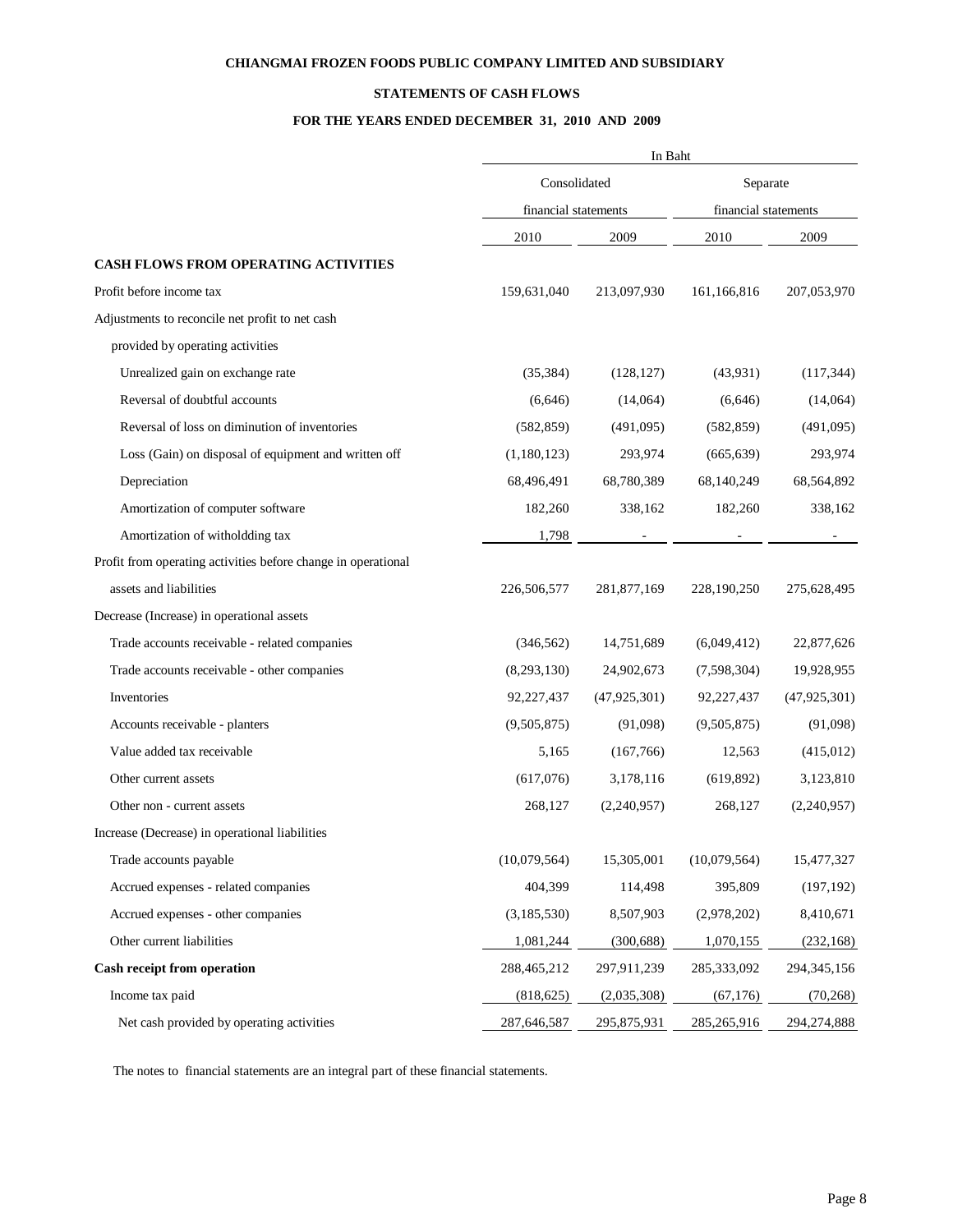## **STATEMENTS OF CASH FLOWS**

## **FOR THE YEARS ENDED DECEMBER 31, 2010 AND 2009**

|                                                               |              | In Baht              |              |                      |  |  |
|---------------------------------------------------------------|--------------|----------------------|--------------|----------------------|--|--|
|                                                               | Consolidated |                      | Separate     |                      |  |  |
|                                                               |              | financial statements |              | financial statements |  |  |
|                                                               | 2010         | 2009                 | 2010         | 2009                 |  |  |
| CASH FLOWS FROM OPERATING ACTIVITIES                          |              |                      |              |                      |  |  |
| Profit before income tax                                      | 159,631,040  | 213,097,930          | 161,166,816  | 207,053,970          |  |  |
| Adjustments to reconcile net profit to net cash               |              |                      |              |                      |  |  |
| provided by operating activities                              |              |                      |              |                      |  |  |
| Unrealized gain on exchange rate                              | (35, 384)    | (128, 127)           | (43,931)     | (117, 344)           |  |  |
| Reversal of doubtful accounts                                 | (6,646)      | (14,064)             | (6,646)      | (14,064)             |  |  |
| Reversal of loss on diminution of inventories                 | (582, 859)   | (491,095)            | (582, 859)   | (491,095)            |  |  |
| Loss (Gain) on disposal of equipment and written off          | (1,180,123)  | 293,974              | (665, 639)   | 293,974              |  |  |
| Depreciation                                                  | 68,496,491   | 68,780,389           | 68,140,249   | 68,564,892           |  |  |
| Amortization of computer software                             | 182,260      | 338,162              | 182,260      | 338,162              |  |  |
| Amortization of witholdding tax                               | 1,798        |                      |              |                      |  |  |
| Profit from operating activities before change in operational |              |                      |              |                      |  |  |
| assets and liabilities                                        | 226,506,577  | 281,877,169          | 228,190,250  | 275,628,495          |  |  |
| Decrease (Increase) in operational assets                     |              |                      |              |                      |  |  |
| Trade accounts receivable - related companies                 | (346, 562)   | 14,751,689           | (6,049,412)  | 22,877,626           |  |  |
| Trade accounts receivable - other companies                   | (8,293,130)  | 24,902,673           | (7,598,304)  | 19,928,955           |  |  |
| Inventories                                                   | 92,227,437   | (47, 925, 301)       | 92,227,437   | (47, 925, 301)       |  |  |
| Accounts receivable - planters                                | (9,505,875)  | (91,098)             | (9,505,875)  | (91,098)             |  |  |
| Value added tax receivable                                    | 5,165        | (167,766)            | 12,563       | (415,012)            |  |  |
| Other current assets                                          | (617,076)    | 3,178,116            | (619, 892)   | 3,123,810            |  |  |
| Other non - current assets                                    | 268,127      | (2,240,957)          | 268,127      | (2,240,957)          |  |  |
| Increase (Decrease) in operational liabilities                |              |                      |              |                      |  |  |
| Trade accounts payable                                        | (10,079,564) | 15,305,001           | (10,079,564) | 15,477,327           |  |  |
| Accrued expenses - related companies                          | 404,399      | 114,498              | 395,809      | (197, 192)           |  |  |
| Accrued expenses - other companies                            | (3,185,530)  | 8,507,903            | (2,978,202)  | 8,410,671            |  |  |
| Other current liabilities                                     | 1,081,244    | (300, 688)           | 1,070,155    | (232, 168)           |  |  |
| Cash receipt from operation                                   | 288,465,212  | 297,911,239          | 285,333,092  | 294, 345, 156        |  |  |
| Income tax paid                                               | (818, 625)   | (2,035,308)          | (67, 176)    | (70, 268)            |  |  |
| Net cash provided by operating activities                     | 287,646,587  | 295,875,931          | 285,265,916  | 294,274,888          |  |  |